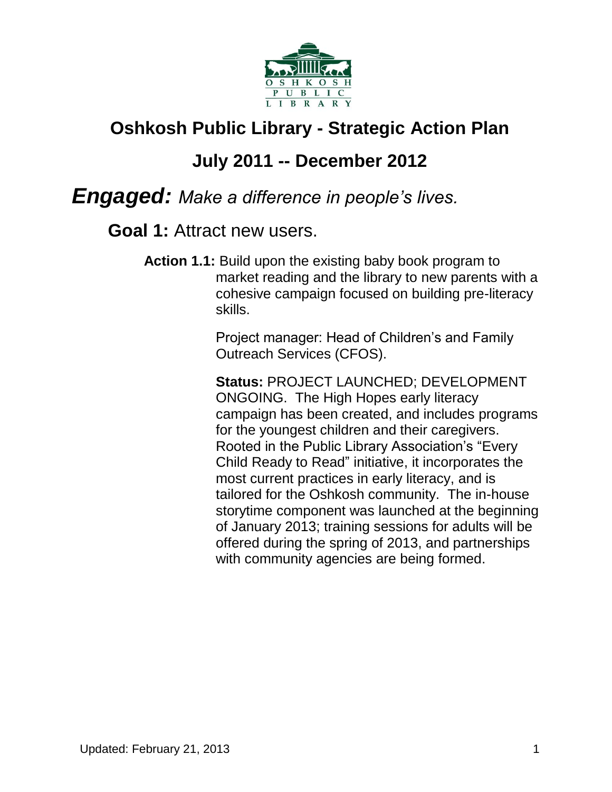

# **Oshkosh Public Library - Strategic Action Plan**

# **July 2011 -- December 2012**

### *Engaged: Make a difference in people's lives.*

#### **Goal 1:** Attract new users.

**Action 1.1:** Build upon the existing baby book program to market reading and the library to new parents with a cohesive campaign focused on building pre-literacy skills.

> Project manager: Head of Children's and Family Outreach Services (CFOS).

**Status:** PROJECT LAUNCHED; DEVELOPMENT ONGOING. The High Hopes early literacy campaign has been created, and includes programs for the youngest children and their caregivers. Rooted in the Public Library Association's "Every Child Ready to Read" initiative, it incorporates the most current practices in early literacy, and is tailored for the Oshkosh community. The in-house storytime component was launched at the beginning of January 2013; training sessions for adults will be offered during the spring of 2013, and partnerships with community agencies are being formed.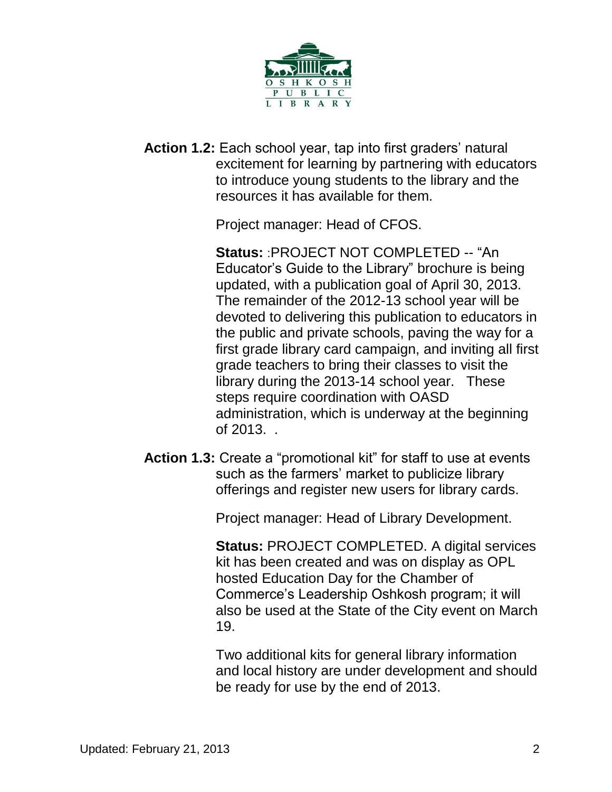

**Action 1.2:** Each school year, tap into first graders' natural excitement for learning by partnering with educators to introduce young students to the library and the resources it has available for them.

Project manager: Head of CFOS.

**Status:** :PROJECT NOT COMPLETED -- "An Educator's Guide to the Library" brochure is being updated, with a publication goal of April 30, 2013. The remainder of the 2012-13 school year will be devoted to delivering this publication to educators in the public and private schools, paving the way for a first grade library card campaign, and inviting all first grade teachers to bring their classes to visit the library during the 2013-14 school year. These steps require coordination with OASD administration, which is underway at the beginning of 2013. .

**Action 1.3:** Create a "promotional kit" for staff to use at events such as the farmers' market to publicize library offerings and register new users for library cards.

Project manager: Head of Library Development.

**Status:** PROJECT COMPLETED. A digital services kit has been created and was on display as OPL hosted Education Day for the Chamber of Commerce's Leadership Oshkosh program; it will also be used at the State of the City event on March 19.

Two additional kits for general library information and local history are under development and should be ready for use by the end of 2013.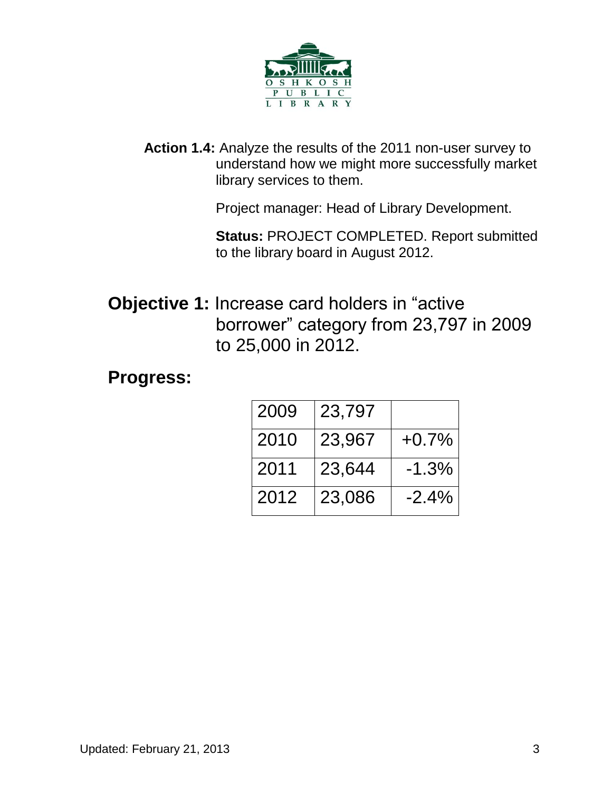

**Action 1.4:** Analyze the results of the 2011 non-user survey to understand how we might more successfully market library services to them.

Project manager: Head of Library Development.

**Status:** PROJECT COMPLETED. Report submitted to the library board in August 2012.

**Objective 1:** Increase card holders in "active borrower" category from 23,797 in 2009 to 25,000 in 2012.

#### **Progress:**

| 2009 | 23,797 |          |
|------|--------|----------|
| 2010 | 23,967 | $+0.7\%$ |
| 2011 | 23,644 | $-1.3%$  |
| 2012 | 23,086 | $-2.4%$  |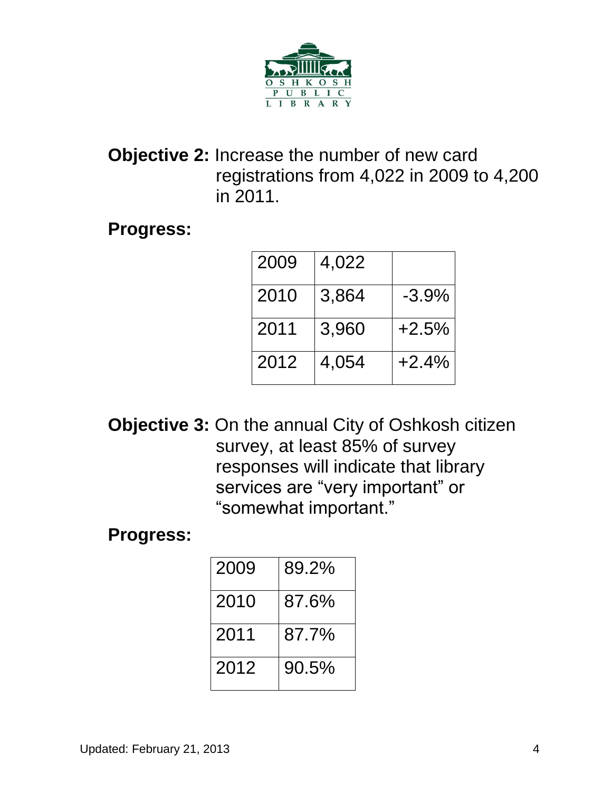

### **Objective 2:** Increase the number of new card registrations from 4,022 in 2009 to 4,200 in 2011.

**Progress:**

| 2009 | 4,022 |          |
|------|-------|----------|
| 2010 | 3,864 | $-3.9\%$ |
| 2011 | 3,960 | $+2.5%$  |
| 2012 | 4,054 | $+2.4%$  |

**Objective 3:** On the annual City of Oshkosh citizen survey, at least 85% of survey responses will indicate that library services are "very important" or "somewhat important."

**Progress:**

| 2009 | 89.2% |
|------|-------|
| 2010 | 87.6% |
| 2011 | 87.7% |
| 2012 | 90.5% |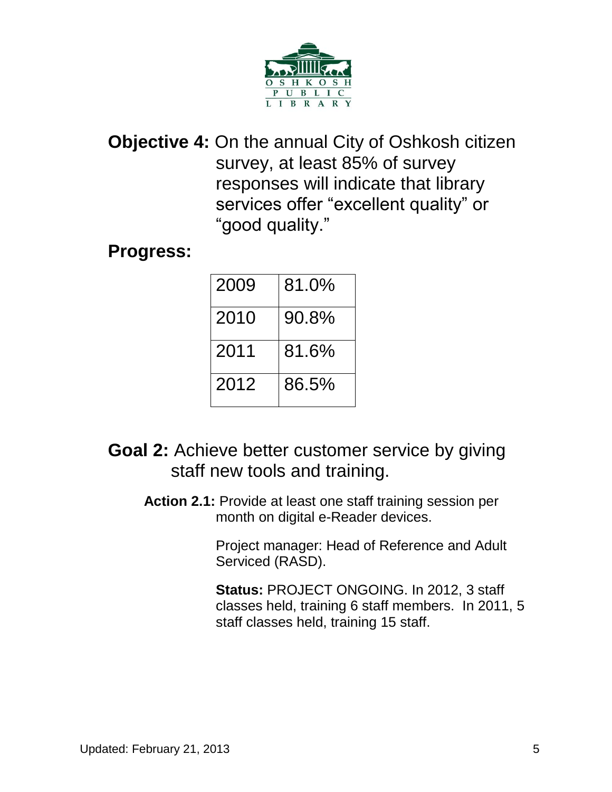

**Objective 4:** On the annual City of Oshkosh citizen survey, at least 85% of survey responses will indicate that library services offer "excellent quality" or "good quality."

#### **Progress:**

| 2009 | 81.0% |
|------|-------|
| 2010 | 90.8% |
| 2011 | 81.6% |
| 2012 | 86.5% |

- **Goal 2:** Achieve better customer service by giving staff new tools and training.
	- **Action 2.1:** Provide at least one staff training session per month on digital e-Reader devices.

Project manager: Head of Reference and Adult Serviced (RASD).

**Status:** PROJECT ONGOING. In 2012, 3 staff classes held, training 6 staff members. In 2011, 5 staff classes held, training 15 staff.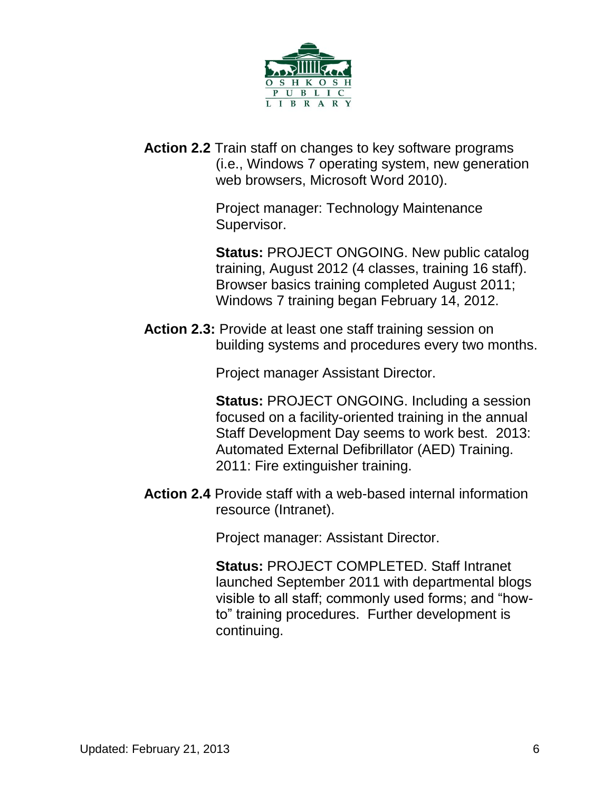

**Action 2.2** Train staff on changes to key software programs (i.e., Windows 7 operating system, new generation web browsers, Microsoft Word 2010).

> Project manager: Technology Maintenance Supervisor.

**Status: PROJECT ONGOING. New public catalog** training, August 2012 (4 classes, training 16 staff). Browser basics training completed August 2011; Windows 7 training began February 14, 2012.

**Action 2.3:** Provide at least one staff training session on building systems and procedures every two months.

Project manager Assistant Director.

**Status:** PROJECT ONGOING. Including a session focused on a facility-oriented training in the annual Staff Development Day seems to work best. 2013: Automated External Defibrillator (AED) Training. 2011: Fire extinguisher training.

**Action 2.4** Provide staff with a web-based internal information resource (Intranet).

Project manager: Assistant Director.

**Status:** PROJECT COMPLETED. Staff Intranet launched September 2011 with departmental blogs visible to all staff; commonly used forms; and "howto" training procedures. Further development is continuing.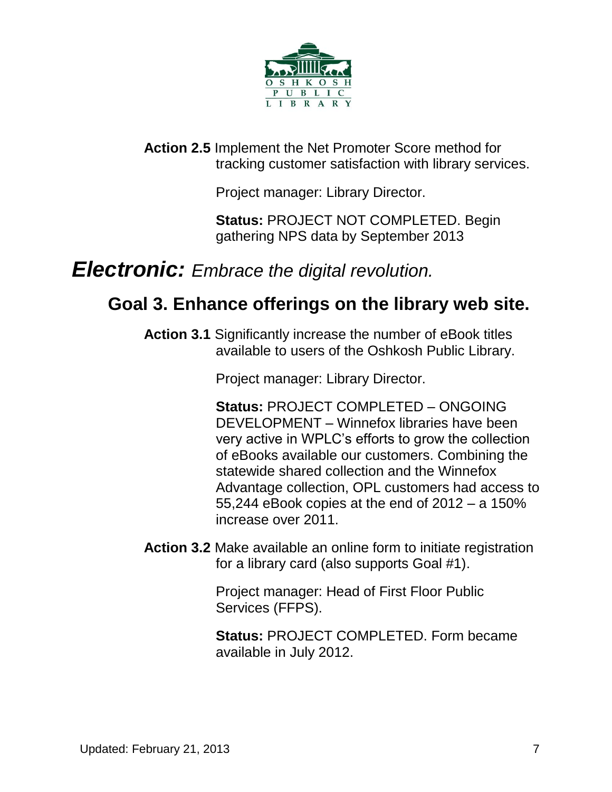

**Action 2.5** Implement the Net Promoter Score method for tracking customer satisfaction with library services.

Project manager: Library Director.

**Status:** PROJECT NOT COMPLETED. Begin gathering NPS data by September 2013

## *Electronic: Embrace the digital revolution.*

### **Goal 3. Enhance offerings on the library web site.**

**Action 3.1** Significantly increase the number of eBook titles available to users of the Oshkosh Public Library.

Project manager: Library Director.

**Status:** PROJECT COMPLETED – ONGOING DEVELOPMENT – Winnefox libraries have been very active in WPLC's efforts to grow the collection of eBooks available our customers. Combining the statewide shared collection and the Winnefox Advantage collection, OPL customers had access to 55,244 eBook copies at the end of 2012 – a 150% increase over 2011.

**Action 3.2** Make available an online form to initiate registration for a library card (also supports Goal #1).

> Project manager: Head of First Floor Public Services (FFPS).

**Status:** PROJECT COMPLETED. Form became available in July 2012.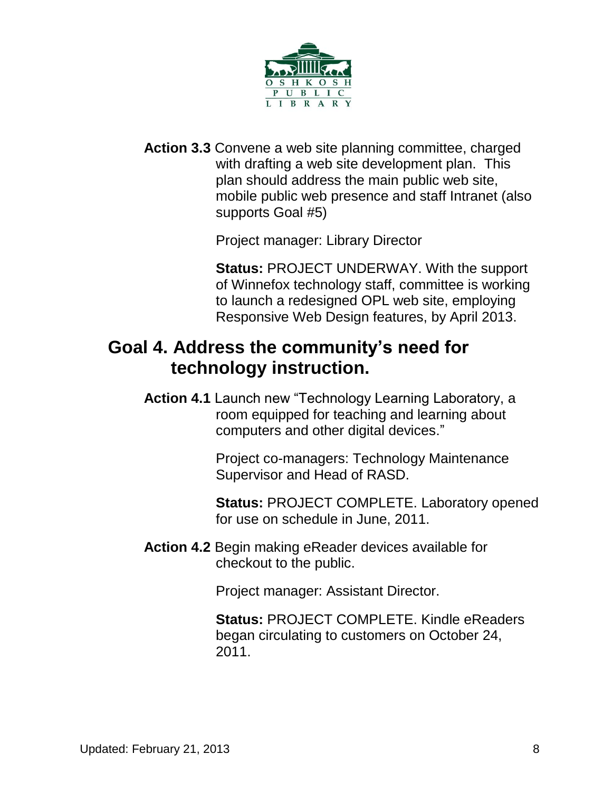

**Action 3.3** Convene a web site planning committee, charged with drafting a web site development plan. This plan should address the main public web site, mobile public web presence and staff Intranet (also supports Goal #5)

Project manager: Library Director

**Status:** PROJECT UNDERWAY. With the support of Winnefox technology staff, committee is working to launch a redesigned OPL web site, employing Responsive Web Design features, by April 2013.

### **Goal 4. Address the community's need for technology instruction.**

**Action 4.1** Launch new "Technology Learning Laboratory, a room equipped for teaching and learning about computers and other digital devices."

> Project co-managers: Technology Maintenance Supervisor and Head of RASD.

**Status:** PROJECT COMPLETE. Laboratory opened for use on schedule in June, 2011.

**Action 4.2** Begin making eReader devices available for checkout to the public.

Project manager: Assistant Director.

**Status:** PROJECT COMPLETE. Kindle eReaders began circulating to customers on October 24, 2011.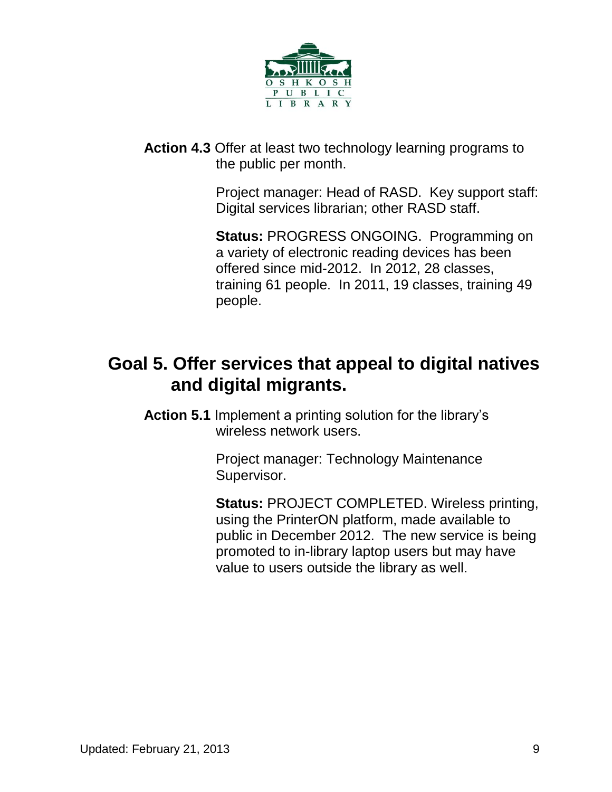

**Action 4.3** Offer at least two technology learning programs to the public per month.

> Project manager: Head of RASD. Key support staff: Digital services librarian; other RASD staff.

**Status:** PROGRESS ONGOING. Programming on a variety of electronic reading devices has been offered since mid-2012. In 2012, 28 classes, training 61 people. In 2011, 19 classes, training 49 people.

# **Goal 5. Offer services that appeal to digital natives and digital migrants.**

**Action 5.1** Implement a printing solution for the library's wireless network users.

> Project manager: Technology Maintenance Supervisor.

**Status:** PROJECT COMPLETED. Wireless printing, using the PrinterON platform, made available to public in December 2012. The new service is being promoted to in-library laptop users but may have value to users outside the library as well.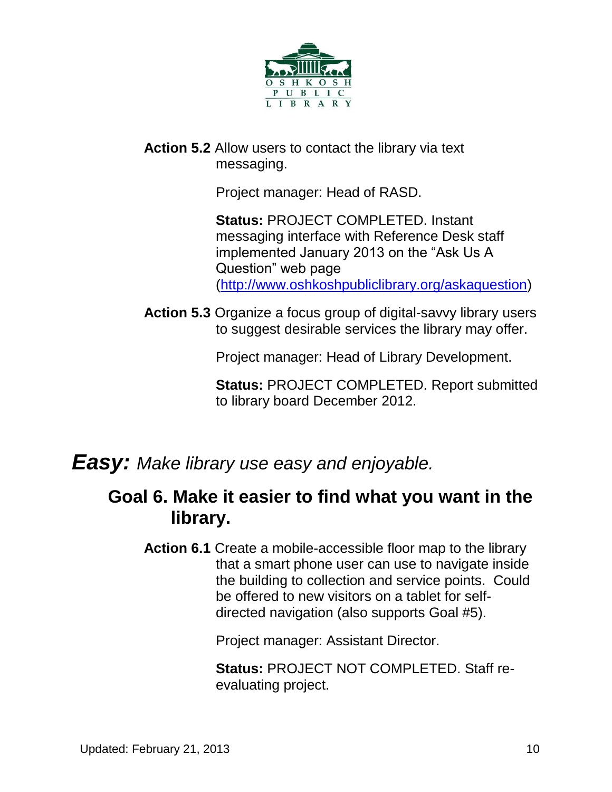

**Action 5.2** Allow users to contact the library via text messaging.

Project manager: Head of RASD.

**Status:** PROJECT COMPLETED. Instant messaging interface with Reference Desk staff implemented January 2013 on the "Ask Us A Question" web page [\(http://www.oshkoshpubliclibrary.org/askaquestion\)](http://www.oshkoshpubliclibrary.org/askaquestion)

**Action 5.3** Organize a focus group of digital-savvy library users to suggest desirable services the library may offer.

Project manager: Head of Library Development.

**Status:** PROJECT COMPLETED. Report submitted to library board December 2012.

*Easy: Make library use easy and enjoyable.*

### **Goal 6. Make it easier to find what you want in the library.**

**Action 6.1** Create a mobile-accessible floor map to the library that a smart phone user can use to navigate inside the building to collection and service points. Could be offered to new visitors on a tablet for selfdirected navigation (also supports Goal #5).

Project manager: Assistant Director.

**Status:** PROJECT NOT COMPLETED. Staff reevaluating project.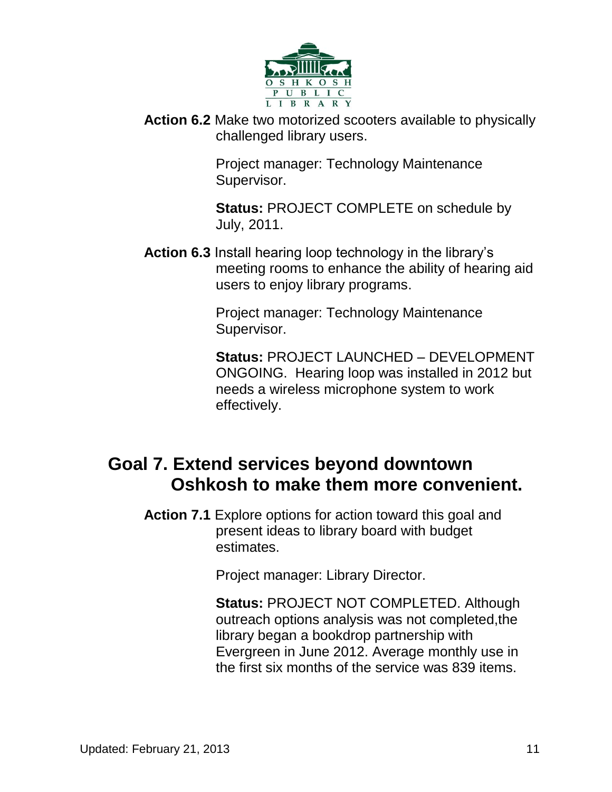

**Action 6.2** Make two motorized scooters available to physically challenged library users.

> Project manager: Technology Maintenance Supervisor.

**Status:** PROJECT COMPLETE on schedule by July, 2011.

**Action 6.3** Install hearing loop technology in the library's meeting rooms to enhance the ability of hearing aid users to enjoy library programs.

> Project manager: Technology Maintenance Supervisor.

**Status:** PROJECT LAUNCHED – DEVELOPMENT ONGOING. Hearing loop was installed in 2012 but needs a wireless microphone system to work effectively.

### **Goal 7. Extend services beyond downtown Oshkosh to make them more convenient.**

**Action 7.1** Explore options for action toward this goal and present ideas to library board with budget estimates.

Project manager: Library Director.

**Status:** PROJECT NOT COMPLETED. Although outreach options analysis was not completed,the library began a bookdrop partnership with Evergreen in June 2012. Average monthly use in the first six months of the service was 839 items.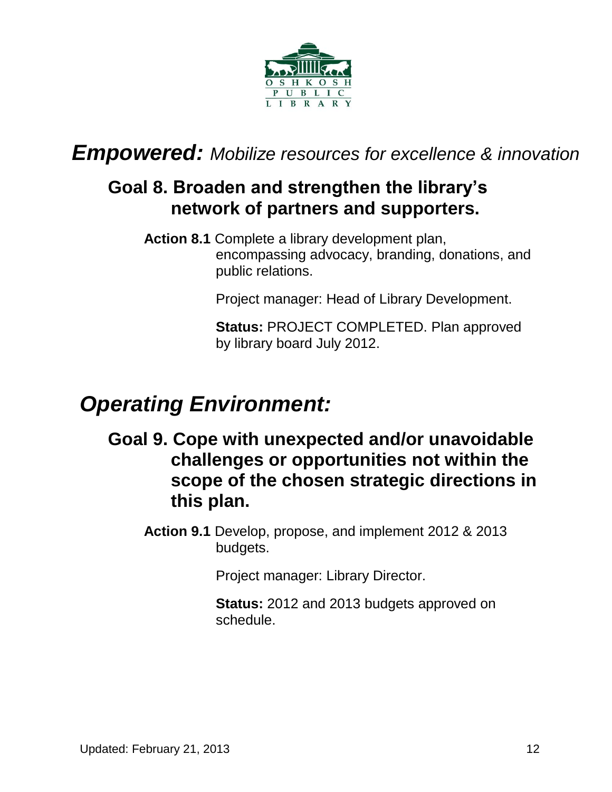

*Empowered: Mobilize resources for excellence & innovation*

# **Goal 8. Broaden and strengthen the library's network of partners and supporters.**

**Action 8.1** Complete a library development plan, encompassing advocacy, branding, donations, and public relations.

Project manager: Head of Library Development.

**Status:** PROJECT COMPLETED. Plan approved by library board July 2012.

# *Operating Environment:*

**Goal 9. Cope with unexpected and/or unavoidable challenges or opportunities not within the scope of the chosen strategic directions in this plan.**

**Action 9.1** Develop, propose, and implement 2012 & 2013 budgets.

Project manager: Library Director.

**Status:** 2012 and 2013 budgets approved on schedule.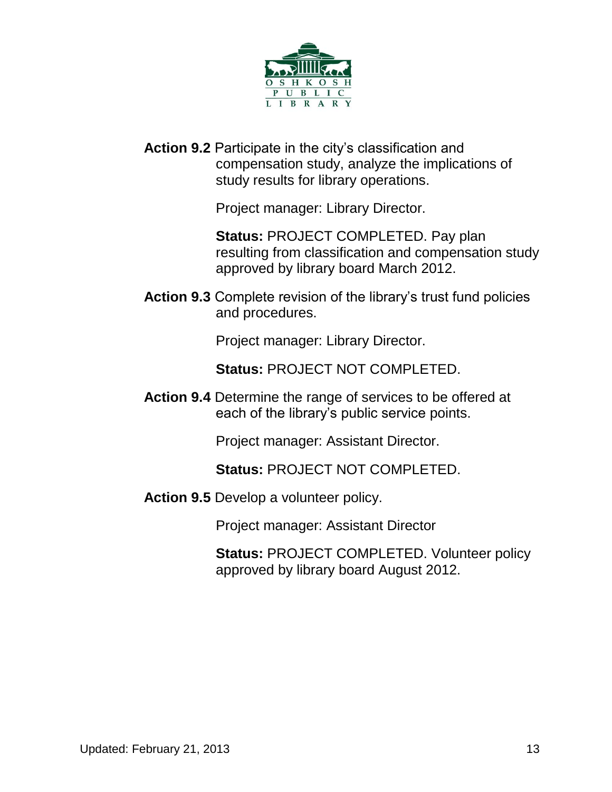

**Action 9.2** Participate in the city's classification and compensation study, analyze the implications of study results for library operations.

Project manager: Library Director.

**Status:** PROJECT COMPLETED. Pay plan resulting from classification and compensation study approved by library board March 2012.

**Action 9.3** Complete revision of the library's trust fund policies and procedures.

Project manager: Library Director.

**Status:** PROJECT NOT COMPLETED.

**Action 9.4** Determine the range of services to be offered at each of the library's public service points.

Project manager: Assistant Director.

**Status:** PROJECT NOT COMPLETED.

**Action 9.5** Develop a volunteer policy.

Project manager: Assistant Director

**Status:** PROJECT COMPLETED. Volunteer policy approved by library board August 2012.